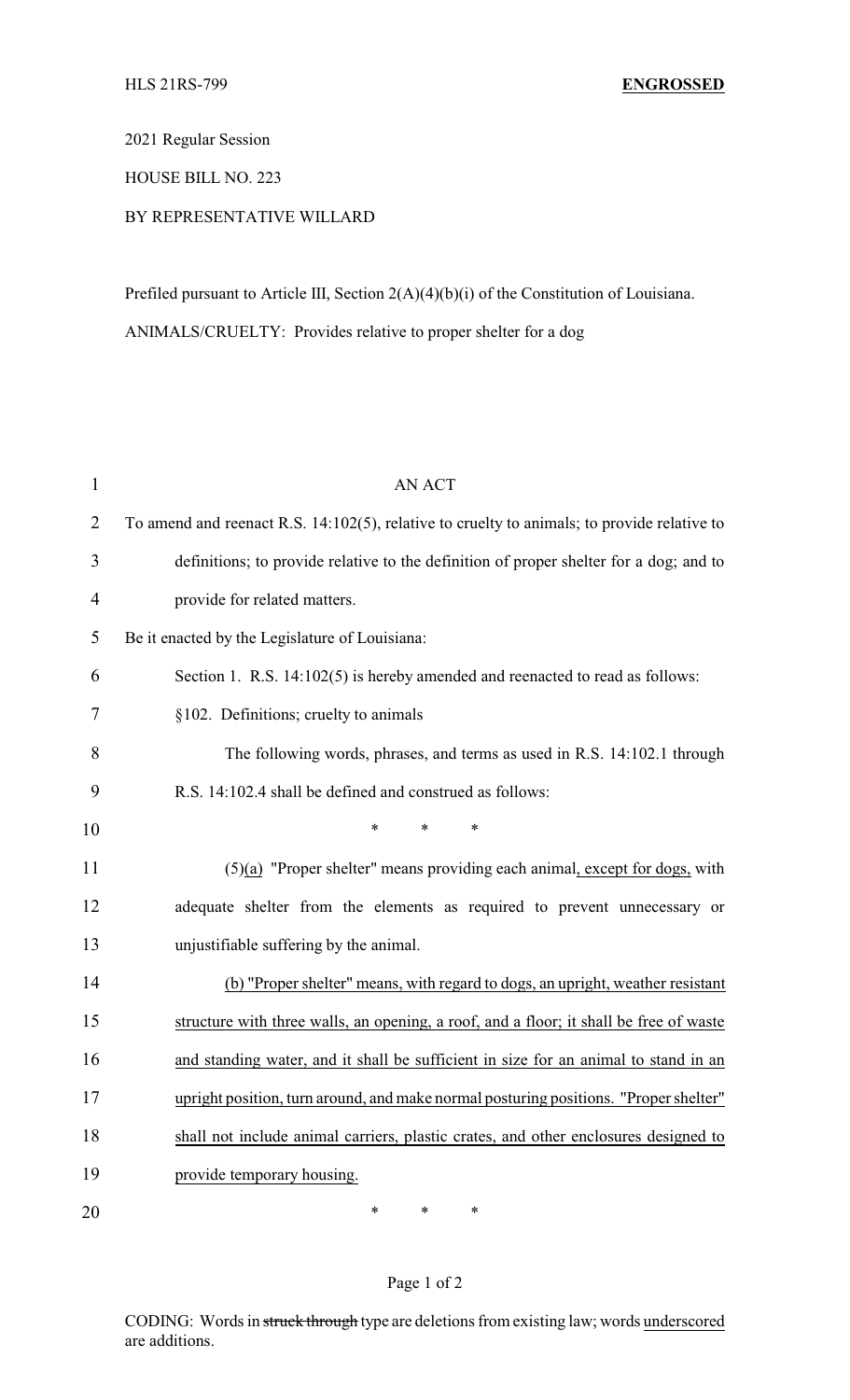2021 Regular Session

HOUSE BILL NO. 223

## BY REPRESENTATIVE WILLARD

Prefiled pursuant to Article III, Section 2(A)(4)(b)(i) of the Constitution of Louisiana. ANIMALS/CRUELTY: Provides relative to proper shelter for a dog

| $\mathbf{1}$   | <b>AN ACT</b>                                                                               |
|----------------|---------------------------------------------------------------------------------------------|
| $\overline{2}$ | To amend and reenact R.S. 14:102(5), relative to cruelty to animals; to provide relative to |
| 3              | definitions; to provide relative to the definition of proper shelter for a dog; and to      |
| $\overline{4}$ | provide for related matters.                                                                |
| 5              | Be it enacted by the Legislature of Louisiana:                                              |
| 6              | Section 1. R.S. 14:102(5) is hereby amended and reenacted to read as follows:               |
| 7              | §102. Definitions; cruelty to animals                                                       |
| 8              | The following words, phrases, and terms as used in R.S. 14:102.1 through                    |
| 9              | R.S. 14:102.4 shall be defined and construed as follows:                                    |
| 10             | *<br>*<br>*                                                                                 |
| 11             | $(5)(a)$ "Proper shelter" means providing each animal, except for dogs, with                |
| 12             | adequate shelter from the elements as required to prevent unnecessary or                    |
| 13             | unjustifiable suffering by the animal.                                                      |
| 14             | (b) "Proper shelter" means, with regard to dogs, an upright, weather resistant              |
| 15             | structure with three walls, an opening, a roof, and a floor; it shall be free of waste      |
| 16             | and standing water, and it shall be sufficient in size for an animal to stand in an         |
| 17             | upright position, turn around, and make normal posturing positions. "Proper shelter"        |
| 18             | shall not include animal carriers, plastic crates, and other enclosures designed to         |
| 19             | provide temporary housing.                                                                  |
| 20             | ∗<br>*<br>∗                                                                                 |

## Page 1 of 2

CODING: Words in struck through type are deletions from existing law; words underscored are additions.